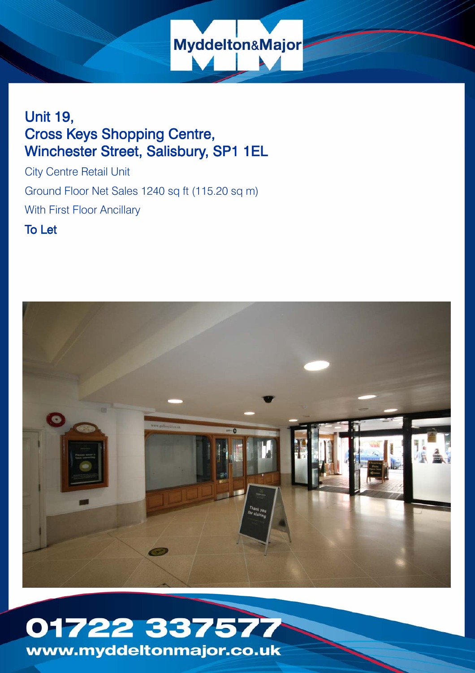

# Unit 19, Cross Keys Shopping Centre, Winchester Street, Salisbury, SP1 1EL

City Centre Retail Unit Ground Floor Net Sales 1240 sq ft (115.20 sq m) With First Floor Ancillary

To Let